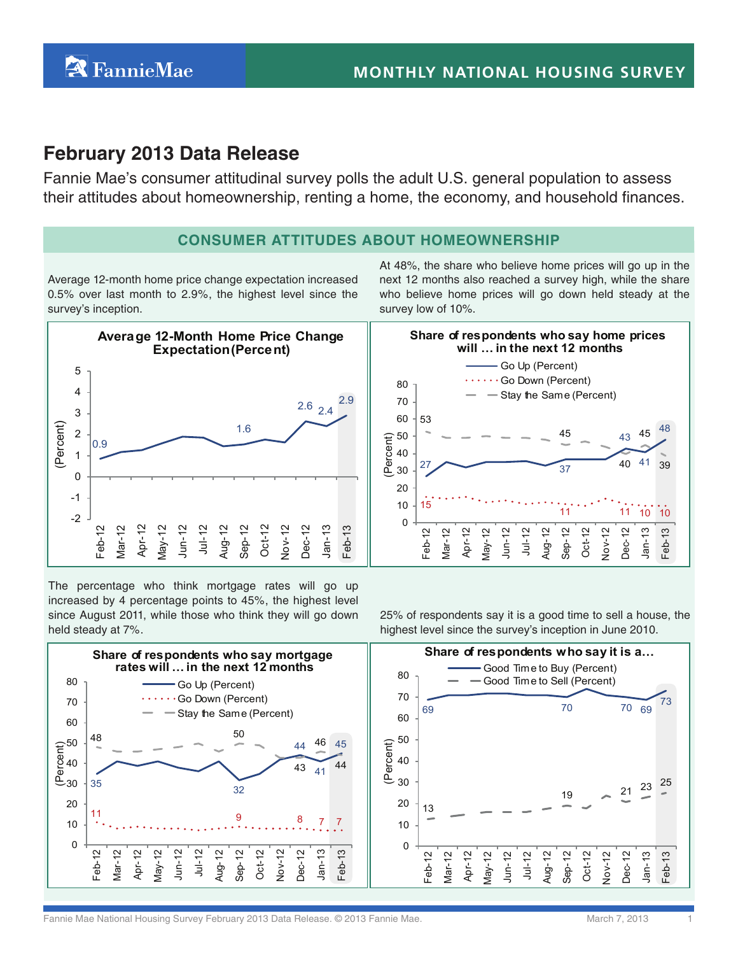## **February 2013 Data Release**

Fannie Mae's consumer attitudinal survey polls the adult U.S. general population to assess their attitudes about homeownership, renting a home, the economy, and household finances.

#### **Consumer Attitudes About HomeOwnership**

Average 12-month home price change expectation increased 0.5% over last month to 2.9%, the highest level since the survey's inception.

At 48%, the share who believe home prices will go up in the next 12 months also reached a survey high, while the share who believe home prices will go down held steady at the survey low of 10%.



The percentage who think mortgage rates will go up increased by 4 percentage points to 45%, the highest level since August 2011, while those who think they will go down held steady at 7%.

25% of respondents say it is a good time to sell a house, the highest level since the survey's inception in June 2010.



Fannie Mae National Housing Survey February 2013 Data Release. © 2013 Fannie Mae. March 7, 2013 1997 March 7, 2013

43

40

Dec-12 Jan-13 Feb-13

41

45

48

39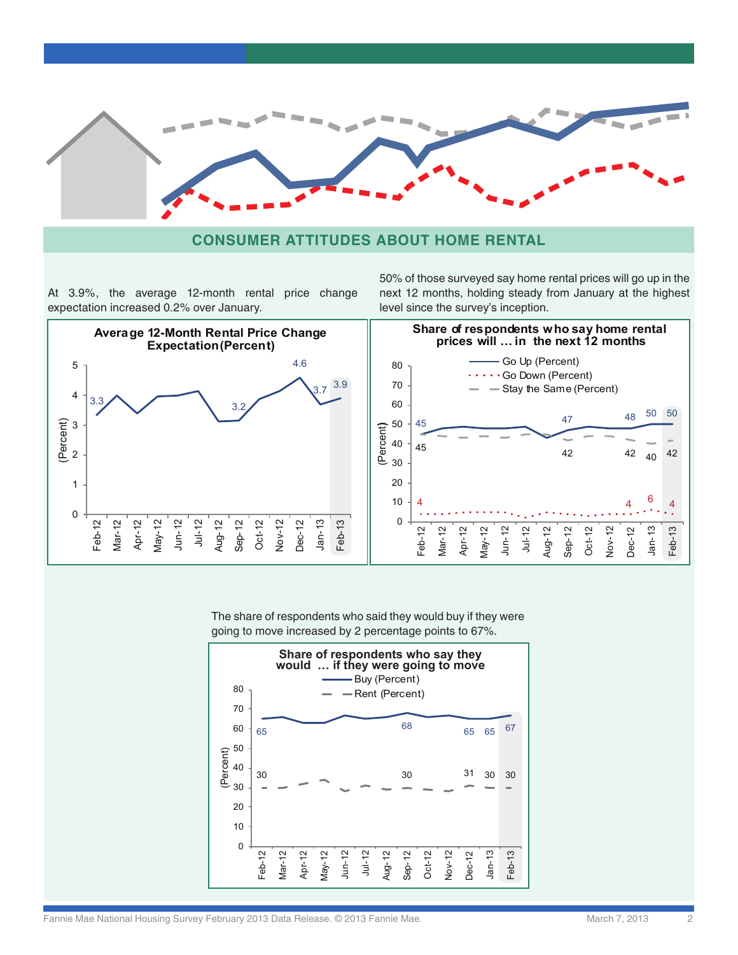

#### **Consumer Attitudes About Home rental**

At 3.9%, the average 12-month rental price change expectation increased 0.2% over January.

50% of those surveyed say home rental prices will go up in the next 12 months, holding steady from January at the highest level since the survey's inception.



The share of respondents who said they would buy if they were going to move increased by 2 percentage points to 67%.



Fannie Mae National Housing Survey February 2013 Data Release. © 2013 Fannie Mae. Mathrone March 7, 2013 2013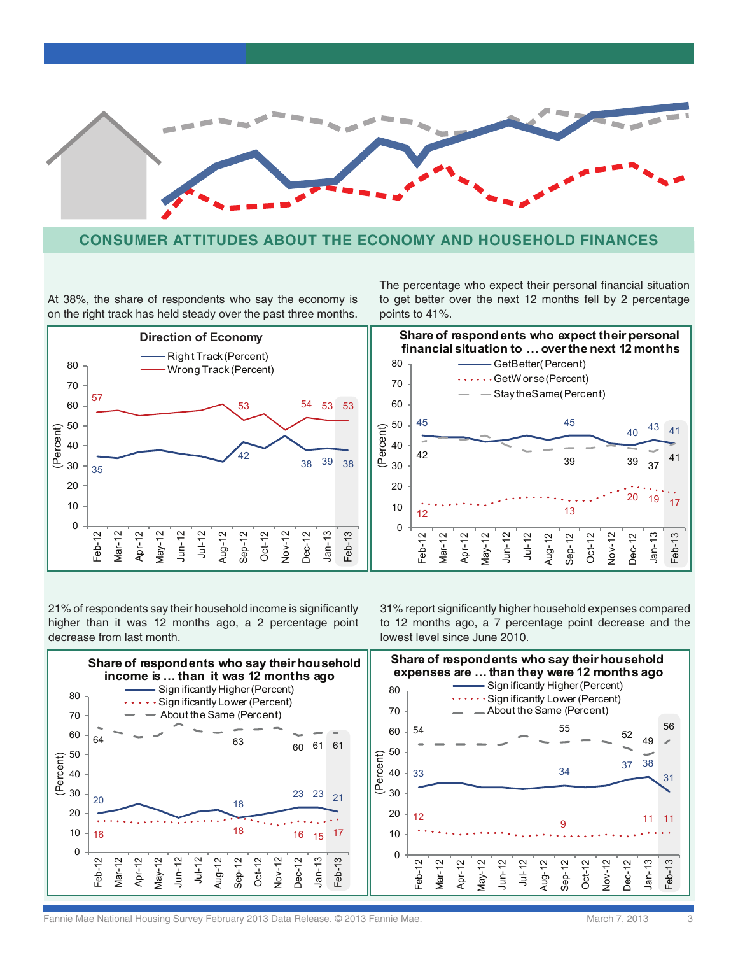

#### **Consumer Attitudes About The economy and Household finances**

At 38%, the share of respondents who say the economy is on the right track has held steady over the past three months.



The percentage who expect their personal financial situation to get better over the next 12 months fell by 2 percentage points to 41%.



21% of respondents say their household income is significantly higher than it was 12 months ago, a 2 percentage point decrease from last month.

31% report significantly higher household expenses compared to 12 months ago, a 7 percentage point decrease and the lowest level since June 2010.



Fannie Mae National Housing Survey February 2013 Data Release. © 2013 Fannie Mae. Mach 7, 2013 March 7, 2013 3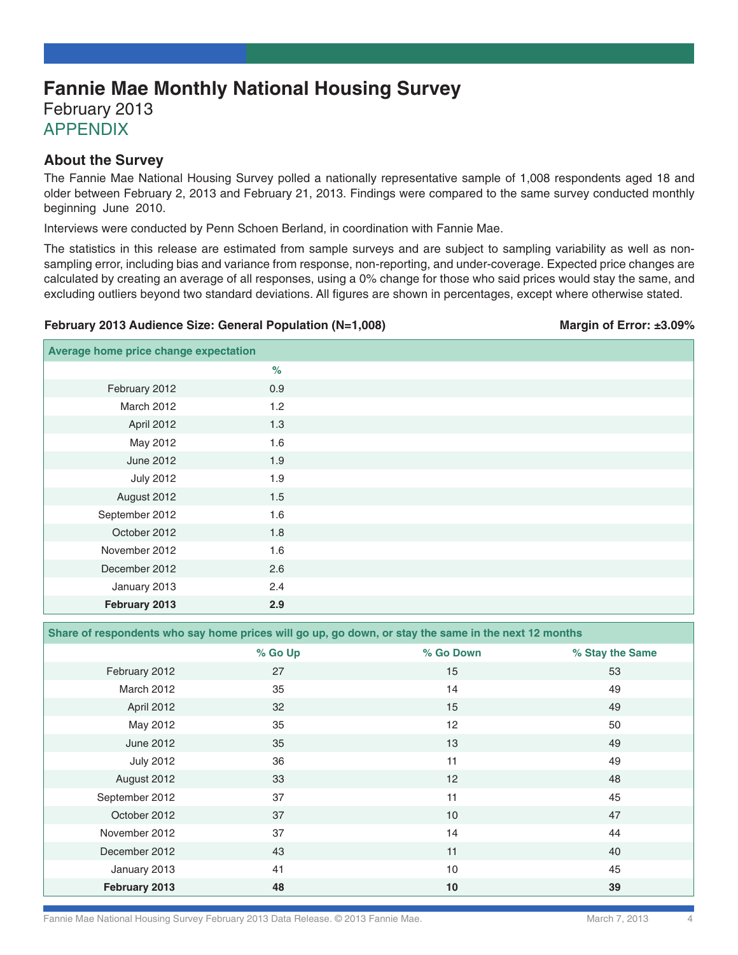# **Fannie Mae Monthly National Housing Survey**

February 2013 **APPENDIX** 

#### **About the Survey**

The Fannie Mae National Housing Survey polled a nationally representative sample of 1,008 respondents aged 18 and older between February 2, 2013 and February 21, 2013. Findings were compared to the same survey conducted monthly beginning June 2010.

Interviews were conducted by Penn Schoen Berland, in coordination with Fannie Mae.

The statistics in this release are estimated from sample surveys and are subject to sampling variability as well as nonsampling error, including bias and variance from response, non-reporting, and under-coverage. Expected price changes are calculated by creating an average of all responses, using a 0% change for those who said prices would stay the same, and excluding outliers beyond two standard deviations. All figures are shown in percentages, except where otherwise stated.

#### **February 2013 Audience Size: General Population (N=1,008) Margin of Error: ±3.09%** Margin of Error: ±3.09%

| Average home price change expectation |      |  |
|---------------------------------------|------|--|
|                                       | $\%$ |  |
| February 2012                         | 0.9  |  |
| March 2012                            | 1.2  |  |
| April 2012                            | 1.3  |  |
| May 2012                              | 1.6  |  |
| June 2012                             | 1.9  |  |
| <b>July 2012</b>                      | 1.9  |  |
| August 2012                           | 1.5  |  |
| September 2012                        | 1.6  |  |
| October 2012                          | 1.8  |  |
| November 2012                         | 1.6  |  |
| December 2012                         | 2.6  |  |
| January 2013                          | 2.4  |  |
| February 2013                         | 2.9  |  |

**Share of respondents who say home prices will go up, go down, or stay the same in the next 12 months**

|                   | % Go Up | % Go Down | % Stay the Same |
|-------------------|---------|-----------|-----------------|
| February 2012     | 27      | 15        | 53              |
| <b>March 2012</b> | 35      | 14        | 49              |
| April 2012        | 32      | 15        | 49              |
| May 2012          | 35      | 12        | 50              |
| June 2012         | 35      | 13        | 49              |
| <b>July 2012</b>  | 36      | 11        | 49              |
| August 2012       | 33      | 12        | 48              |
| September 2012    | 37      | 11        | 45              |
| October 2012      | 37      | 10        | 47              |
| November 2012     | 37      | 14        | 44              |
| December 2012     | 43      | 11        | 40              |
| January 2013      | 41      | 10        | 45              |
| February 2013     | 48      | 10        | 39              |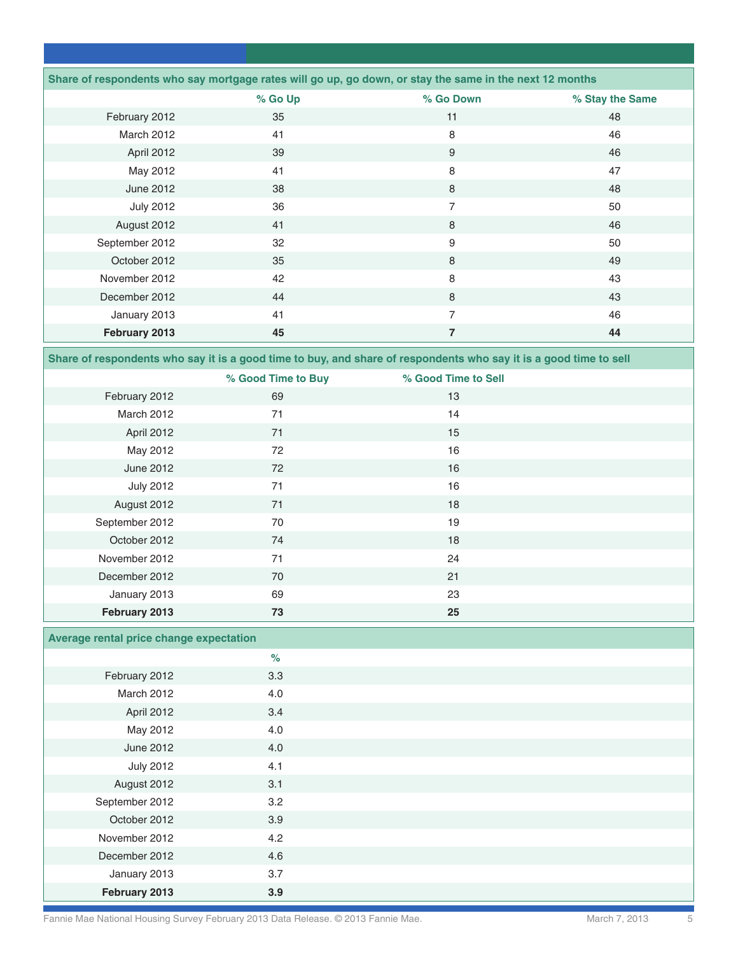| Share of respondents who say mortgage rates will go up, go down, or stay the same in the next 12 months |         |           |                 |
|---------------------------------------------------------------------------------------------------------|---------|-----------|-----------------|
|                                                                                                         | % Go Up | % Go Down | % Stay the Same |
| February 2012                                                                                           | 35      | 11        | 48              |
| <b>March 2012</b>                                                                                       | 41      | 8         | 46              |
| April 2012                                                                                              | 39      | 9         | 46              |
| May 2012                                                                                                | 41      | 8         | 47              |
| June 2012                                                                                               | 38      | 8         | 48              |
| <b>July 2012</b>                                                                                        | 36      | 7         | 50              |
| August 2012                                                                                             | 41      | 8         | 46              |
| September 2012                                                                                          | 32      | 9         | 50              |
| October 2012                                                                                            | 35      | 8         | 49              |
| November 2012                                                                                           | 42      | 8         | 43              |
| December 2012                                                                                           | 44      | 8         | 43              |
| January 2013                                                                                            | 41      | 7         | 46              |
| February 2013                                                                                           | 45      | 7         | 44              |

**Share of respondents who say it is a good time to buy, and share of respondents who say it is a good time to sell**

|                  | % Good Time to Buy | % Good Time to Sell |  |
|------------------|--------------------|---------------------|--|
| February 2012    | 69                 | 13                  |  |
| March 2012       | 71                 | 14                  |  |
| April 2012       | 71                 | 15                  |  |
| May 2012         | 72                 | 16                  |  |
| June 2012        | 72                 | 16                  |  |
| <b>July 2012</b> | 71                 | 16                  |  |
| August 2012      | 71                 | 18                  |  |
| September 2012   | 70                 | 19                  |  |
| October 2012     | 74                 | 18                  |  |
| November 2012    | 71                 | 24                  |  |
| December 2012    | 70                 | 21                  |  |
| January 2013     | 69                 | 23                  |  |
| February 2013    | 73                 | 25                  |  |

### **Average rental price change expectation**

|                  | $\%$ |  |
|------------------|------|--|
| February 2012    | 3.3  |  |
| March 2012       | 4.0  |  |
| April 2012       | 3.4  |  |
| May 2012         | 4.0  |  |
| June 2012        | 4.0  |  |
| <b>July 2012</b> | 4.1  |  |
| August 2012      | 3.1  |  |
| September 2012   | 3.2  |  |
| October 2012     | 3.9  |  |
| November 2012    | 4.2  |  |
| December 2012    | 4.6  |  |
| January 2013     | 3.7  |  |
| February 2013    | 3.9  |  |

Fannie Mae National Housing Survey February 2013 Data Release. © 2013 Fannie Mae. Mathoritics March 7, 2013 5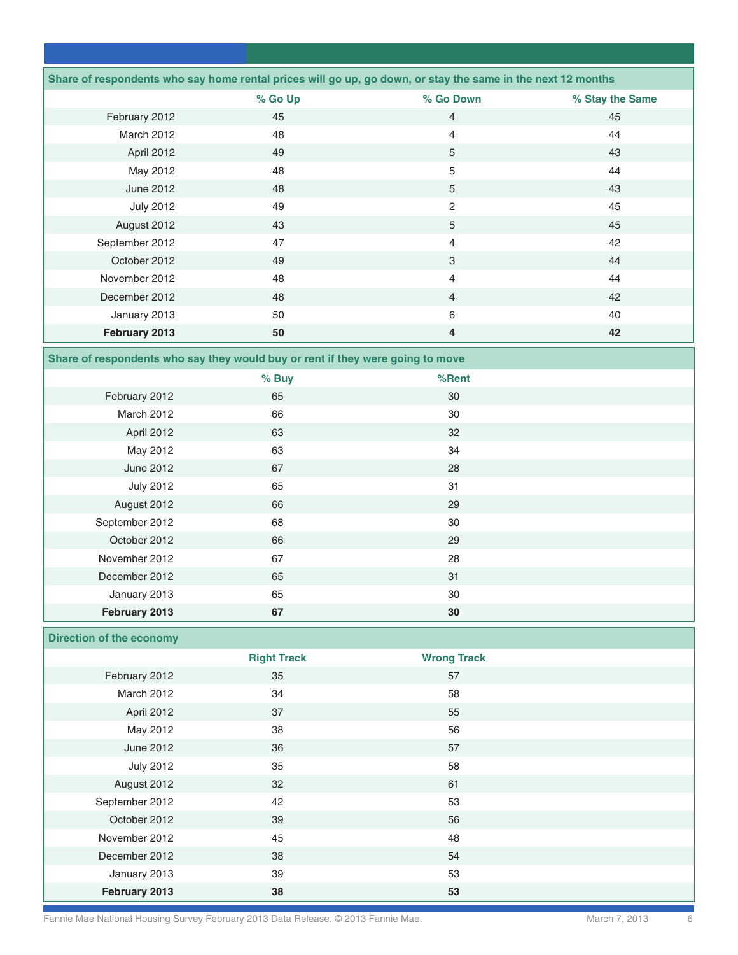|                   | Share of respondents who say home rental prices will go up, go down, or stay the same in the next 12 months |                |                 |
|-------------------|-------------------------------------------------------------------------------------------------------------|----------------|-----------------|
|                   | % Go Up                                                                                                     | % Go Down      | % Stay the Same |
| February 2012     | 45                                                                                                          | $\overline{4}$ | 45              |
| <b>March 2012</b> | 48                                                                                                          | $\overline{4}$ | 44              |
| April 2012        | 49                                                                                                          | 5              | 43              |
| May 2012          | 48                                                                                                          | 5              | 44              |
| June 2012         | 48                                                                                                          | 5              | 43              |
| <b>July 2012</b>  | 49                                                                                                          | $\overline{2}$ | 45              |
| August 2012       | 43                                                                                                          | 5              | 45              |
| September 2012    | 47                                                                                                          | 4              | 42              |
| October 2012      | 49                                                                                                          | 3              | 44              |
| November 2012     | 48                                                                                                          | $\overline{4}$ | 44              |
| December 2012     | 48                                                                                                          | $\overline{4}$ | 42              |
| January 2013      | 50                                                                                                          | 6              | 40              |
| February 2013     | 50                                                                                                          | 4              | 42              |

**Share of respondents who say they would buy or rent if they were going to move** 

|                  | % Buy | %Rent |  |
|------------------|-------|-------|--|
| February 2012    | 65    | 30    |  |
| March 2012       | 66    | 30    |  |
| April 2012       | 63    | 32    |  |
| May 2012         | 63    | 34    |  |
| June 2012        | 67    | 28    |  |
| <b>July 2012</b> | 65    | 31    |  |
| August 2012      | 66    | 29    |  |
| September 2012   | 68    | 30    |  |
| October 2012     | 66    | 29    |  |
| November 2012    | 67    | 28    |  |
| December 2012    | 65    | 31    |  |
| January 2013     | 65    | 30    |  |
| February 2013    | 67    | 30    |  |

#### **Direction of the economy**

|                  | <b>Right Track</b> | <b>Wrong Track</b> |  |
|------------------|--------------------|--------------------|--|
| February 2012    | 35                 | 57                 |  |
| March 2012       | 34                 | 58                 |  |
| April 2012       | 37                 | 55                 |  |
| May 2012         | 38                 | 56                 |  |
| June 2012        | 36                 | 57                 |  |
| <b>July 2012</b> | 35                 | 58                 |  |
| August 2012      | 32                 | 61                 |  |
| September 2012   | 42                 | 53                 |  |
| October 2012     | 39                 | 56                 |  |
| November 2012    | 45                 | 48                 |  |
| December 2012    | 38                 | 54                 |  |
| January 2013     | 39                 | 53                 |  |
| February 2013    | 38                 | 53                 |  |

Fannie Mae National Housing Survey February 2013 Data Release. © 2013 Fannie Mae. Mathromagnetic March 7, 2013 6